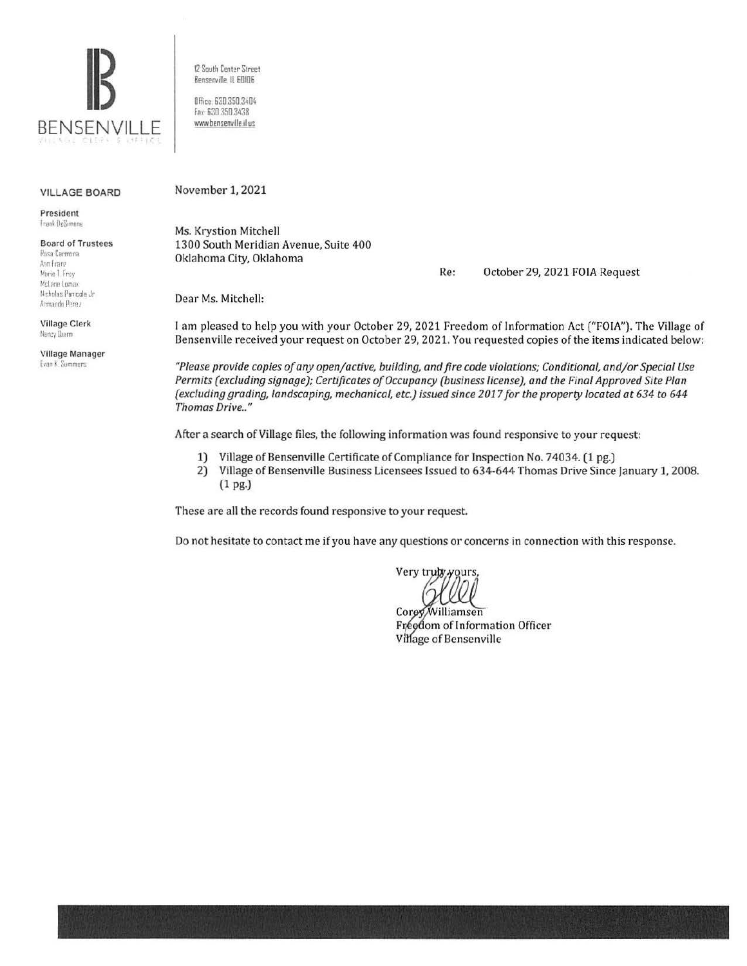

12 South Center Street Benserville, IL 60106 Office 630.350.3404 Fat 630 350 3438

www.bensenville.il us

### VILLAGE BOARD

President **Trank** DeSimone

### Board of Trustees Posa Carmona Aun Franz Marie T. Frey McLane Lomax

Nicholas Pamcola Jr Armando Perez

Village Clerk Nancy Durm

Village Manager **Evan K. Summers** 

November 1, 2021

Ms. Krystion Mitchell 1300 South Meridian Avenue, Suite 400 Oklahoma City, Oklahoma

Re: October 29, 2021 FOIA Request

Dear Ms. Mitchell:

I am pleased to help you with your October 29, 2021 Freedom of Information Act ("FOIA"). The Village of Bensenville received your request on October 29, 2021. You requested copies of the items indicated below:

*"Please provide copies of any openjactive, building, and fire code violations; Conditional, andjor Special Use Permits (excluding signage); Certificates of Occupancy (business license), and the Final Approved Site Plan (excluding grading, landscaping, mechanical, etc.) issued since 2017 for the property located at 634 to 644 Thomas Drive .. "* 

After a search of Village files, the following information was found responsive to your request:

- 1) Village of Bensenville Certificate of Compliance for Inspection No. 74034. (1 pg.)
- 2) Village of Bensenville Business Licensees Issued to 634-644 Thomas Drive Since January 1, 2008. (1 pg.)

These are all the records found responsive to your request.

Do not hesitate to contact me if you have any questions or concerns in connection with this response.

Very truly yours,

Corey Williamsen Fréedom of Information Officer Village of Bensenville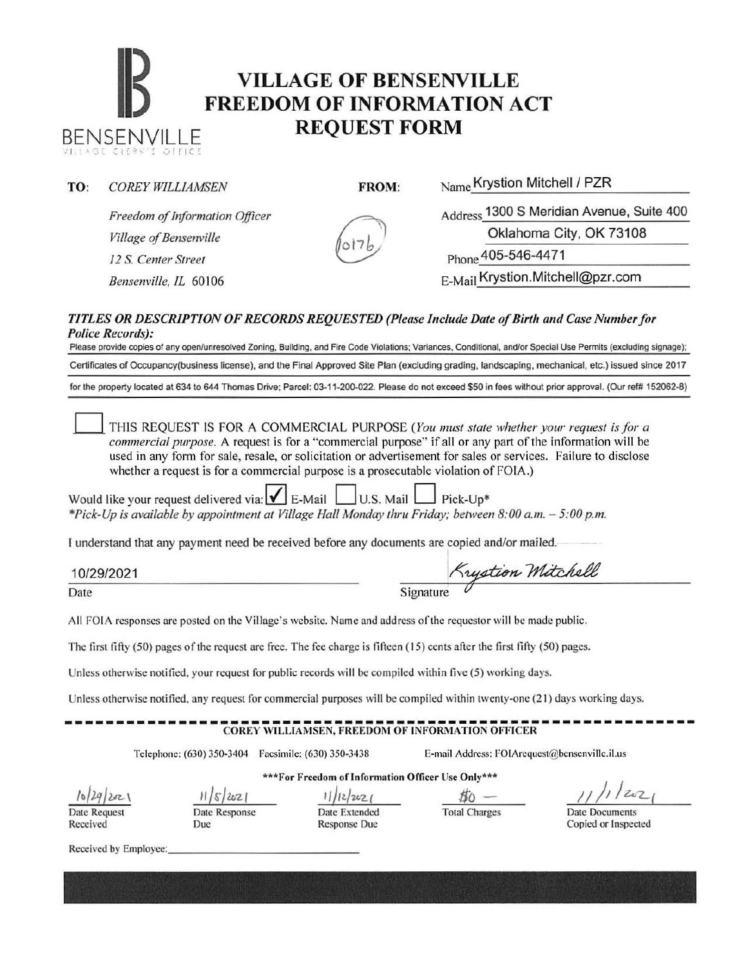## **IB VILLAGE OF BENSENVILLE**<br> **FREEDOM OF INFORMATION ACT** BENSENVILLE **REQUEST FORM**

TO: *COREY WILLIAMSEN* FROM: Name Krystion Mitchell / PZR

*Freedom of Information Officer Village of Bensenville 12 S. Center Street* Phone 405-546-4471 *Bensenville, IL* 60106 **E-Mail Krystion.Mitchell@pzr.com** 

Address 1300 S Meridian Avenue, Suite 400 Oklahoma City, OK 73108

## *TITLES OR DESCRIPTION OF RECORDS REQUESTED (Please Include Date of Birth and Case Number for Police Records):*

Please provide copies of any open/unresolved Zoning, Building, and Fire Code Violations; Variances, Conditional, and/or Special Use Permits (excluding signage); Certificates of Occupancy(business license), and the Final Approved Site Plan (excluding grading, landscaping, mechanical, etc.) issued since 2017 for the property located at 634 to 644 Thomas Drive; Parcel: 03-11-200-022. Please do not exceed \$50 in fees without prior approval. (Our ref# 152062-8)

0 THIS REQUEST IS FOR A COMMERCIAL PURPOSE *(You must slate whether your request is for a commercial purpose.* A request is for a "commercial purpose" if all or any part of the information will be used in any form for sale, resale, or solicitation or advertisement for sales or services. Failure to disclose whether a request is for a commercial purpose is a prosecutable violation of FOIA.)

Would like your request delivered via:  $\vert \mathbf{v} \vert$  E-Mail  $\vert$  U.S. Mail  $\vert$  Pick-Up\* *\*Pick-Up is available by appointment at Village Hall Monday thru Friday; between 8:00a.m. - 5:00p.m.* 

I understand that any payment need be received before any documents are copied and/or mailed. copied and/or mailed.<br>Krystion Mitchell

10/29/2021

Date

 $S$ ignature

All FOIA responses are posted on the Village's website. Name and address of the requestor will be made public.

The first fifty  $(50)$  pages of the request are free. The fee charge is fifteen  $(15)$  cents after the first fifty  $(50)$  pages.

Unless otherwise notified, your request for public records will be compiled within five (5) working days.

Unless otherwise notified, any request for commercial purposes will be compiled within twenty-one (21) days working days.

## ------------------------------------------------------------- COREY WILLIAMSEN, FREEDOM OF INFORMATION OFFICER

Date Response

Due

Telephone: (630) 350-3404 Facsimile: (630) 350-3438 E-mail Address: FOIArcquest@bcnsenvillc.il.us

*lo/q/Yl-\*  Date Request

Received

\*\*\*For Freedom of Information Officer Use Only\*\*\* 11/5/2021 1/12/2021 50 -

Date Extended Response Due

Total Charges Date Documents

 $2021$ 

Copied or Inspected

Received by Employee: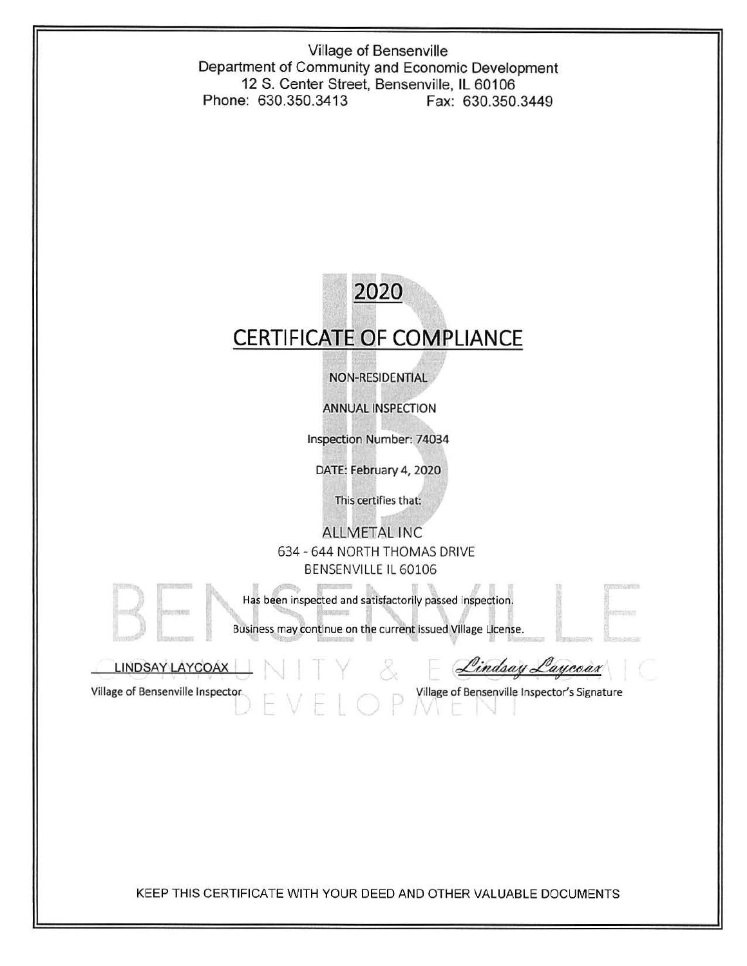Village of Bensenville Department of Community and Economic Development 12 S. Center Street, Bensenville, IL 60106 Phone: 630.350.3413 Fax: 630.350.3449

# **2020 CERTIFICATE OF COMPLIANCE**

NON-RESIDENTIAL

ANNUAL INSPECTION

Inspection Number: 74034

DATE: February 4, 2020

This certifies that:

ALLMETAL INC 634- 644 NORTH THOMAS DRIVE BENSENVILLE IL 60106

Has been inspected and satisfactorily passed inspection.

Business may continue on the current issued Village License.

LINDSAY LAYCOAX

Lindsay Laycoax

Village of Bensenville Inspector and Village of Bensenville Inspector's Signature

KEEP THIS CERTIFICATE WITH YOUR DEED AND OTHER VALUABLE DOCUMENTS